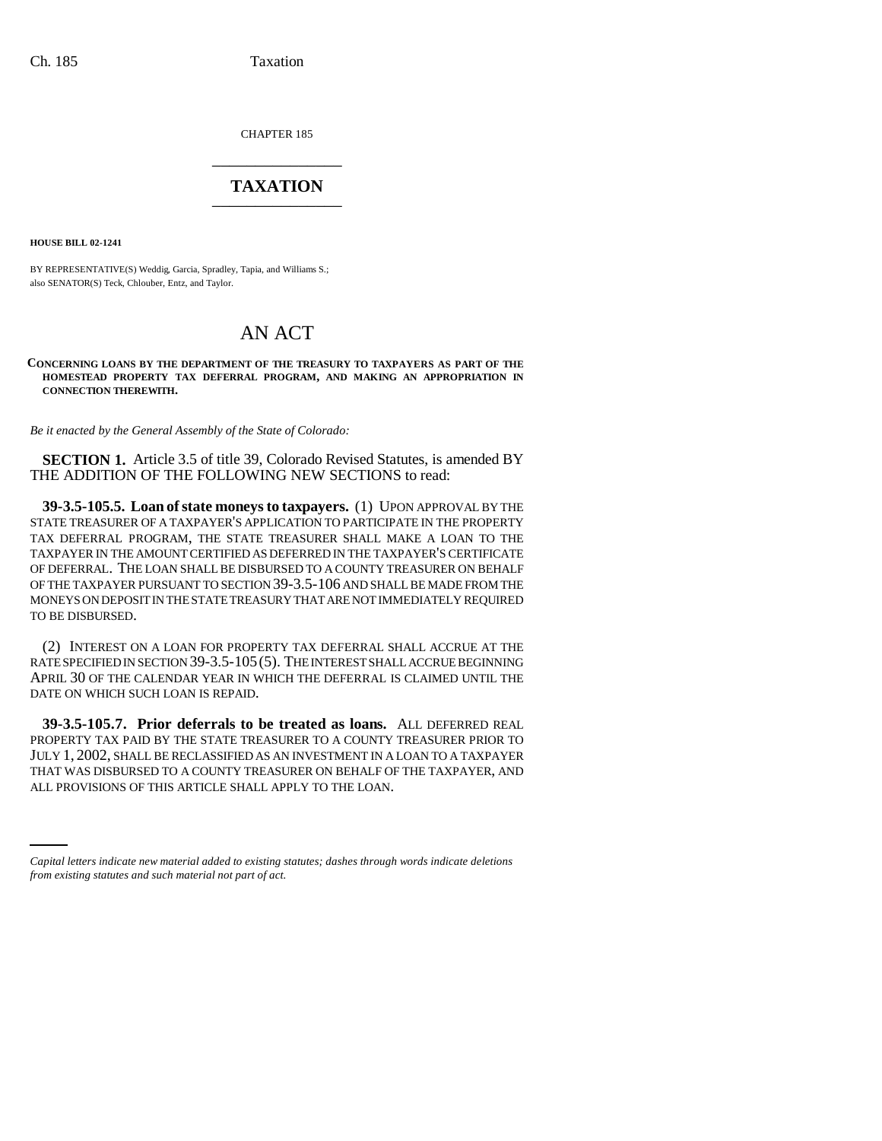CHAPTER 185 \_\_\_\_\_\_\_\_\_\_\_\_\_\_\_

## **TAXATION** \_\_\_\_\_\_\_\_\_\_\_\_\_\_\_

**HOUSE BILL 02-1241**

BY REPRESENTATIVE(S) Weddig, Garcia, Spradley, Tapia, and Williams S.; also SENATOR(S) Teck, Chlouber, Entz, and Taylor.

## AN ACT

**CONCERNING LOANS BY THE DEPARTMENT OF THE TREASURY TO TAXPAYERS AS PART OF THE HOMESTEAD PROPERTY TAX DEFERRAL PROGRAM, AND MAKING AN APPROPRIATION IN CONNECTION THEREWITH.**

*Be it enacted by the General Assembly of the State of Colorado:*

**SECTION 1.** Article 3.5 of title 39, Colorado Revised Statutes, is amended BY THE ADDITION OF THE FOLLOWING NEW SECTIONS to read:

**39-3.5-105.5. Loan of state moneys to taxpayers.** (1) UPON APPROVAL BY THE STATE TREASURER OF A TAXPAYER'S APPLICATION TO PARTICIPATE IN THE PROPERTY TAX DEFERRAL PROGRAM, THE STATE TREASURER SHALL MAKE A LOAN TO THE TAXPAYER IN THE AMOUNT CERTIFIED AS DEFERRED IN THE TAXPAYER'S CERTIFICATE OF DEFERRAL. THE LOAN SHALL BE DISBURSED TO A COUNTY TREASURER ON BEHALF OF THE TAXPAYER PURSUANT TO SECTION 39-3.5-106 AND SHALL BE MADE FROM THE MONEYS ON DEPOSIT IN THE STATE TREASURY THAT ARE NOT IMMEDIATELY REQUIRED TO BE DISBURSED.

(2) INTEREST ON A LOAN FOR PROPERTY TAX DEFERRAL SHALL ACCRUE AT THE RATE SPECIFIED IN SECTION 39-3.5-105(5). THE INTEREST SHALL ACCRUE BEGINNING APRIL 30 OF THE CALENDAR YEAR IN WHICH THE DEFERRAL IS CLAIMED UNTIL THE DATE ON WHICH SUCH LOAN IS REPAID.

THAT WAS DISBURSED TO A COUNTY TREASURER ON BEHALF OF THE TAXPAYER, AND **39-3.5-105.7. Prior deferrals to be treated as loans.** ALL DEFERRED REAL PROPERTY TAX PAID BY THE STATE TREASURER TO A COUNTY TREASURER PRIOR TO JULY 1, 2002, SHALL BE RECLASSIFIED AS AN INVESTMENT IN A LOAN TO A TAXPAYER ALL PROVISIONS OF THIS ARTICLE SHALL APPLY TO THE LOAN.

*Capital letters indicate new material added to existing statutes; dashes through words indicate deletions from existing statutes and such material not part of act.*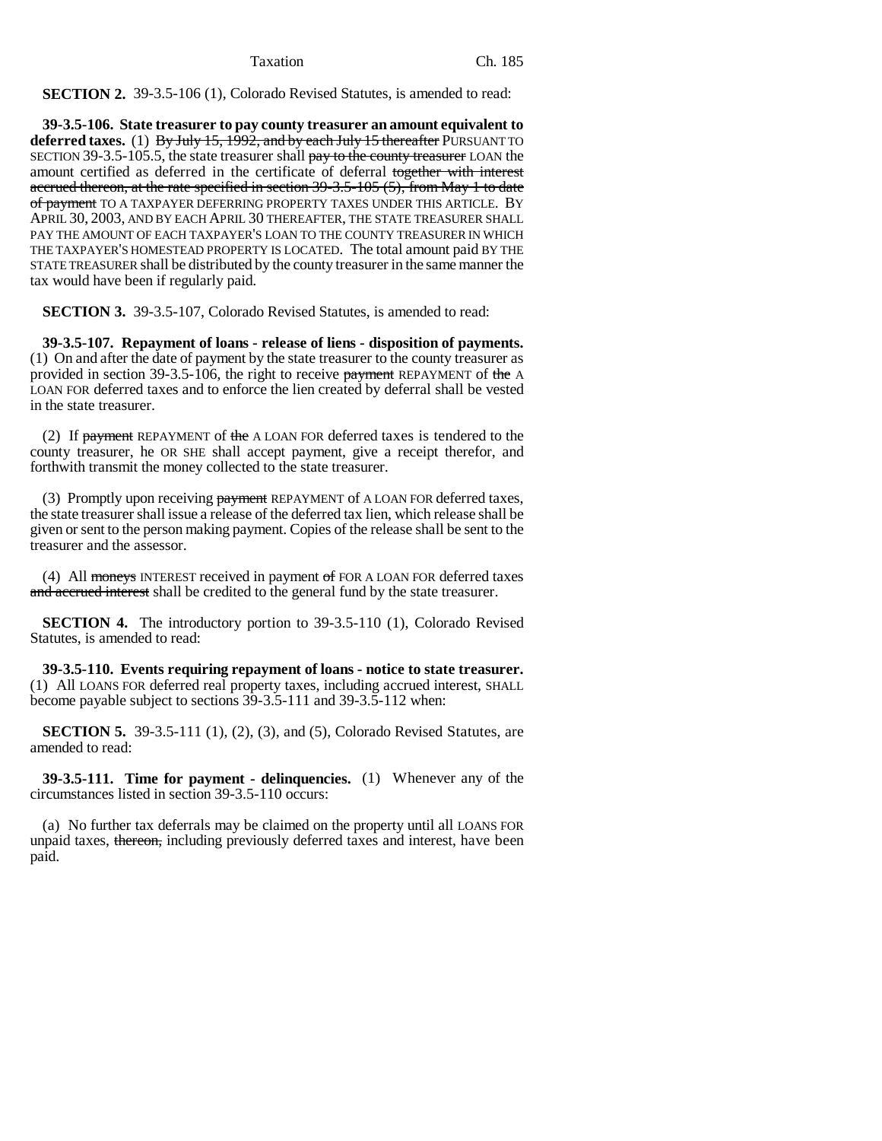**SECTION 2.** 39-3.5-106 (1), Colorado Revised Statutes, is amended to read:

**39-3.5-106. State treasurer to pay county treasurer an amount equivalent to** deferred taxes. (1) By July 15, 1992, and by each July 15 thereafter PURSUANT TO SECTION 39-3.5-105.5, the state treasurer shall pay to the county treasurer LOAN the amount certified as deferred in the certificate of deferral together with interest accrued thereon, at the rate specified in section 39-3.5-105 (5), from May 1 to date of payment TO A TAXPAYER DEFERRING PROPERTY TAXES UNDER THIS ARTICLE. BY APRIL 30, 2003, AND BY EACH APRIL 30 THEREAFTER, THE STATE TREASURER SHALL PAY THE AMOUNT OF EACH TAXPAYER'S LOAN TO THE COUNTY TREASURER IN WHICH THE TAXPAYER'S HOMESTEAD PROPERTY IS LOCATED. The total amount paid BY THE STATE TREASURER shall be distributed by the county treasurer in the same manner the tax would have been if regularly paid.

**SECTION 3.** 39-3.5-107, Colorado Revised Statutes, is amended to read:

**39-3.5-107. Repayment of loans - release of liens - disposition of payments.** (1) On and after the date of payment by the state treasurer to the county treasurer as provided in section 39-3.5-106, the right to receive payment REPAYMENT of the A LOAN FOR deferred taxes and to enforce the lien created by deferral shall be vested in the state treasurer.

(2) If payment REPAYMENT of the A LOAN FOR deferred taxes is tendered to the county treasurer, he OR SHE shall accept payment, give a receipt therefor, and forthwith transmit the money collected to the state treasurer.

(3) Promptly upon receiving payment REPAYMENT of A LOAN FOR deferred taxes, the state treasurer shall issue a release of the deferred tax lien, which release shall be given or sent to the person making payment. Copies of the release shall be sent to the treasurer and the assessor.

(4) All moneys INTEREST received in payment of FOR A LOAN FOR deferred taxes and accrued interest shall be credited to the general fund by the state treasurer.

**SECTION 4.** The introductory portion to 39-3.5-110 (1), Colorado Revised Statutes, is amended to read:

**39-3.5-110. Events requiring repayment of loans - notice to state treasurer.** (1) All LOANS FOR deferred real property taxes, including accrued interest, SHALL become payable subject to sections 39-3.5-111 and 39-3.5-112 when:

**SECTION 5.** 39-3.5-111 (1), (2), (3), and (5), Colorado Revised Statutes, are amended to read:

**39-3.5-111. Time for payment - delinquencies.** (1) Whenever any of the circumstances listed in section 39-3.5-110 occurs:

(a) No further tax deferrals may be claimed on the property until all LOANS FOR unpaid taxes, thereon, including previously deferred taxes and interest, have been paid.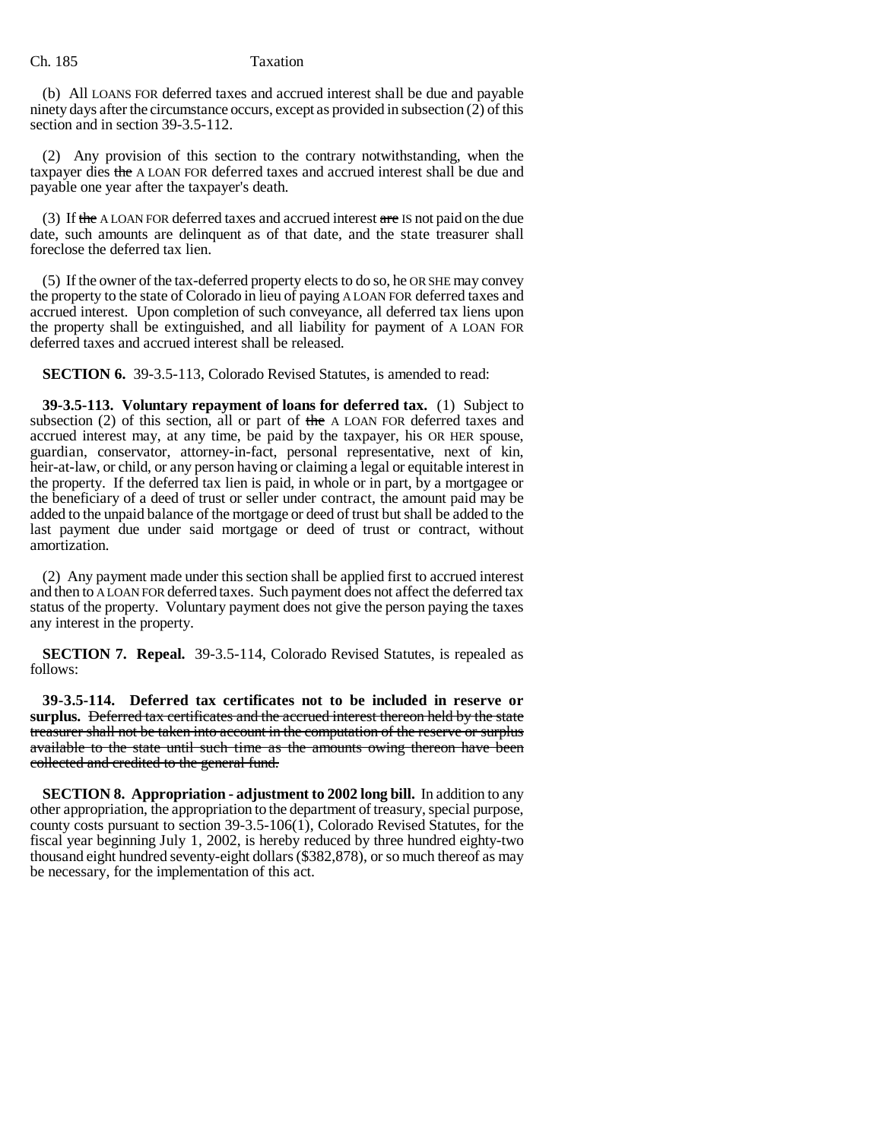## Ch. 185 Taxation

(b) All LOANS FOR deferred taxes and accrued interest shall be due and payable ninety days after the circumstance occurs, except as provided in subsection (2) of this section and in section 39-3.5-112.

(2) Any provision of this section to the contrary notwithstanding, when the taxpayer dies the A LOAN FOR deferred taxes and accrued interest shall be due and payable one year after the taxpayer's death.

(3) If the ALOAN FOR deferred taxes and accrued interest  $\theta$  are IS not paid on the due date, such amounts are delinquent as of that date, and the state treasurer shall foreclose the deferred tax lien.

(5) If the owner of the tax-deferred property elects to do so, he OR SHE may convey the property to the state of Colorado in lieu of paying A LOAN FOR deferred taxes and accrued interest. Upon completion of such conveyance, all deferred tax liens upon the property shall be extinguished, and all liability for payment of A LOAN FOR deferred taxes and accrued interest shall be released.

**SECTION 6.** 39-3.5-113, Colorado Revised Statutes, is amended to read:

**39-3.5-113. Voluntary repayment of loans for deferred tax.** (1) Subject to subsection  $(2)$  of this section, all or part of the A LOAN FOR deferred taxes and accrued interest may, at any time, be paid by the taxpayer, his OR HER spouse, guardian, conservator, attorney-in-fact, personal representative, next of kin, heir-at-law, or child, or any person having or claiming a legal or equitable interest in the property. If the deferred tax lien is paid, in whole or in part, by a mortgagee or the beneficiary of a deed of trust or seller under contract, the amount paid may be added to the unpaid balance of the mortgage or deed of trust but shall be added to the last payment due under said mortgage or deed of trust or contract, without amortization.

(2) Any payment made under this section shall be applied first to accrued interest and then to A LOAN FOR deferred taxes. Such payment does not affect the deferred tax status of the property. Voluntary payment does not give the person paying the taxes any interest in the property.

**SECTION 7. Repeal.** 39-3.5-114, Colorado Revised Statutes, is repealed as follows:

**39-3.5-114. Deferred tax certificates not to be included in reserve or surplus.** Deferred tax certificates and the accrued interest thereon held by the state treasurer shall not be taken into account in the computation of the reserve or surplus available to the state until such time as the amounts owing thereon have been collected and credited to the general fund.

**SECTION 8. Appropriation - adjustment to 2002 long bill.** In addition to any other appropriation, the appropriation to the department of treasury, special purpose, county costs pursuant to section 39-3.5-106(1), Colorado Revised Statutes, for the fiscal year beginning July 1, 2002, is hereby reduced by three hundred eighty-two thousand eight hundred seventy-eight dollars (\$382,878), or so much thereof as may be necessary, for the implementation of this act.